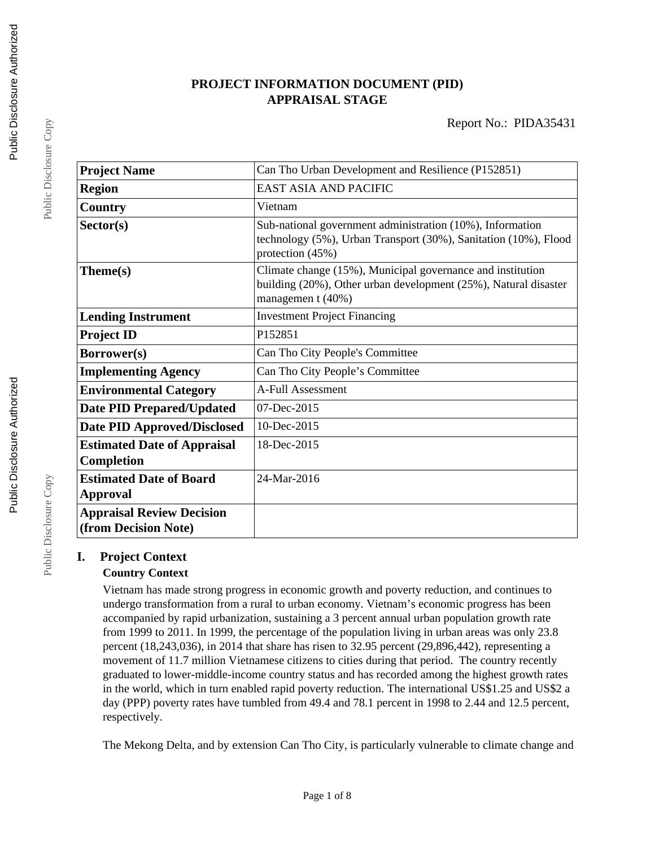# **PROJECT INFORMATION DOCUMENT (PID) APPRAISAL STAGE**

| <b>Project Name</b>                                      | Can Tho Urban Development and Resilience (P152851)                                                                                                 |  |  |
|----------------------------------------------------------|----------------------------------------------------------------------------------------------------------------------------------------------------|--|--|
| <b>Region</b>                                            | <b>EAST ASIA AND PACIFIC</b>                                                                                                                       |  |  |
| Country                                                  | Vietnam                                                                                                                                            |  |  |
| Sector(s)                                                | Sub-national government administration (10%), Information<br>technology (5%), Urban Transport (30%), Sanitation (10%), Flood<br>protection (45%)   |  |  |
| Theme(s)                                                 | Climate change (15%), Municipal governance and institution<br>building (20%), Other urban development (25%), Natural disaster<br>managemen t (40%) |  |  |
| <b>Lending Instrument</b>                                | <b>Investment Project Financing</b>                                                                                                                |  |  |
| <b>Project ID</b>                                        | P152851                                                                                                                                            |  |  |
| Borrower(s)                                              | Can Tho City People's Committee                                                                                                                    |  |  |
| <b>Implementing Agency</b>                               | Can Tho City People's Committee                                                                                                                    |  |  |
| <b>Environmental Category</b>                            | <b>A-Full Assessment</b>                                                                                                                           |  |  |
| <b>Date PID Prepared/Updated</b>                         | 07-Dec-2015                                                                                                                                        |  |  |
| <b>Date PID Approved/Disclosed</b>                       | 10-Dec-2015                                                                                                                                        |  |  |
| <b>Estimated Date of Appraisal</b><br>Completion         | 18-Dec-2015                                                                                                                                        |  |  |
| <b>Estimated Date of Board</b><br><b>Approval</b>        | 24-Mar-2016                                                                                                                                        |  |  |
| <b>Appraisal Review Decision</b><br>(from Decision Note) |                                                                                                                                                    |  |  |

# **I. Project Context**

# **Country Context**

Vietnam has made strong progress in economic growth and poverty reduction, and continues to undergo transformation from a rural to urban economy. Vietnam's economic progress has been accompanied by rapid urbanization, sustaining a 3 percent annual urban population growth rate from 1999 to 2011. In 1999, the percentage of the population living in urban areas was only 23.8 percent (18,243,036), in 2014 that share has risen to 32.95 percent (29,896,442), representing a movement of 11.7 million Vietnamese citizens to cities during that period. The country recently graduated to lower-middle-income country status and has recorded among the highest growth rates in the world, which in turn enabled rapid poverty reduction. The international US\$1.25 and US\$2 a day (PPP) poverty rates have tumbled from 49.4 and 78.1 percent in 1998 to 2.44 and 12.5 percent, respectively.

The Mekong Delta, and by extension Can Tho City, is particularly vulnerable to climate change and

Public Disclosure Copy

Public Disclosure Copy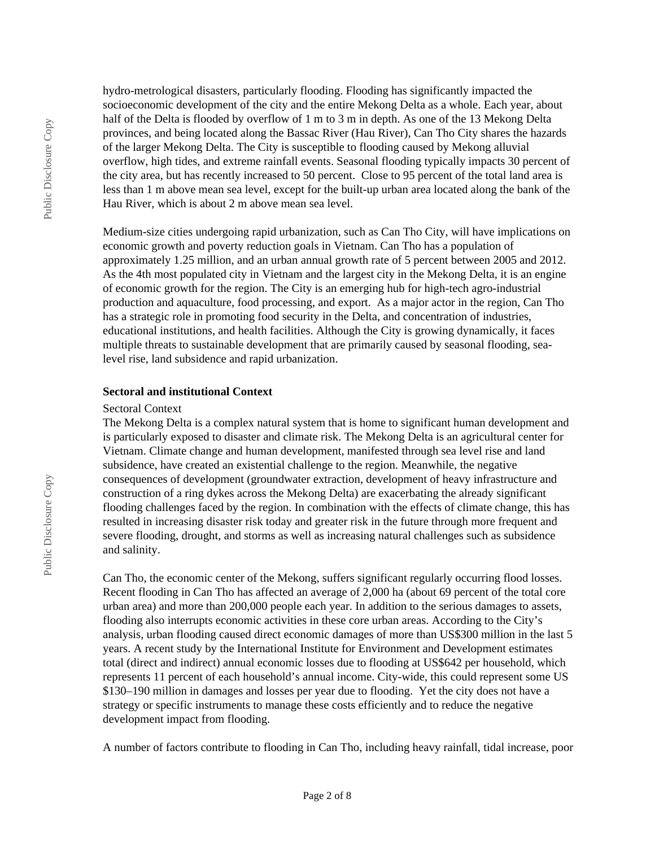hydro-metrological disasters, particularly flooding. Flooding has significantly impacted the socioeconomic development of the city and the entire Mekong Delta as a whole. Each year, about half of the Delta is flooded by overflow of 1 m to 3 m in depth. As one of the 13 Mekong Delta provinces, and being located along the Bassac River (Hau River), Can Tho City shares the hazards of the larger Mekong Delta. The City is susceptible to flooding caused by Mekong alluvial overflow, high tides, and extreme rainfall events. Seasonal flooding typically impacts 30 percent of the city area, but has recently increased to 50 percent. Close to 95 percent of the total land area is less than 1 m above mean sea level, except for the built-up urban area located along the bank of the Hau River, which is about 2 m above mean sea level.

Medium-size cities undergoing rapid urbanization, such as Can Tho City, will have implications on economic growth and poverty reduction goals in Vietnam. Can Tho has a population of approximately 1.25 million, and an urban annual growth rate of 5 percent between 2005 and 2012. As the 4th most populated city in Vietnam and the largest city in the Mekong Delta, it is an engine of economic growth for the region. The City is an emerging hub for high-tech agro-industrial production and aquaculture, food processing, and export. As a major actor in the region, Can Tho has a strategic role in promoting food security in the Delta, and concentration of industries, educational institutions, and health facilities. Although the City is growing dynamically, it faces multiple threats to sustainable development that are primarily caused by seasonal flooding, sealevel rise, land subsidence and rapid urbanization.

#### **Sectoral and institutional Context**

#### Sectoral Context

The Mekong Delta is a complex natural system that is home to significant human development and is particularly exposed to disaster and climate risk. The Mekong Delta is an agricultural center for Vietnam. Climate change and human development, manifested through sea level rise and land subsidence, have created an existential challenge to the region. Meanwhile, the negative consequences of development (groundwater extraction, development of heavy infrastructure and construction of a ring dykes across the Mekong Delta) are exacerbating the already significant flooding challenges faced by the region. In combination with the effects of climate change, this has resulted in increasing disaster risk today and greater risk in the future through more frequent and severe flooding, drought, and storms as well as increasing natural challenges such as subsidence and salinity.

Can Tho, the economic center of the Mekong, suffers significant regularly occurring flood losses. Recent flooding in Can Tho has affected an average of 2,000 ha (about 69 percent of the total core urban area) and more than 200,000 people each year. In addition to the serious damages to assets, flooding also interrupts economic activities in these core urban areas. According to the City's analysis, urban flooding caused direct economic damages of more than US\$300 million in the last 5 years. A recent study by the International Institute for Environment and Development estimates total (direct and indirect) annual economic losses due to flooding at US\$642 per household, which represents 11 percent of each household's annual income. City-wide, this could represent some US \$130–190 million in damages and losses per year due to flooding. Yet the city does not have a strategy or specific instruments to manage these costs efficiently and to reduce the negative development impact from flooding.

A number of factors contribute to flooding in Can Tho, including heavy rainfall, tidal increase, poor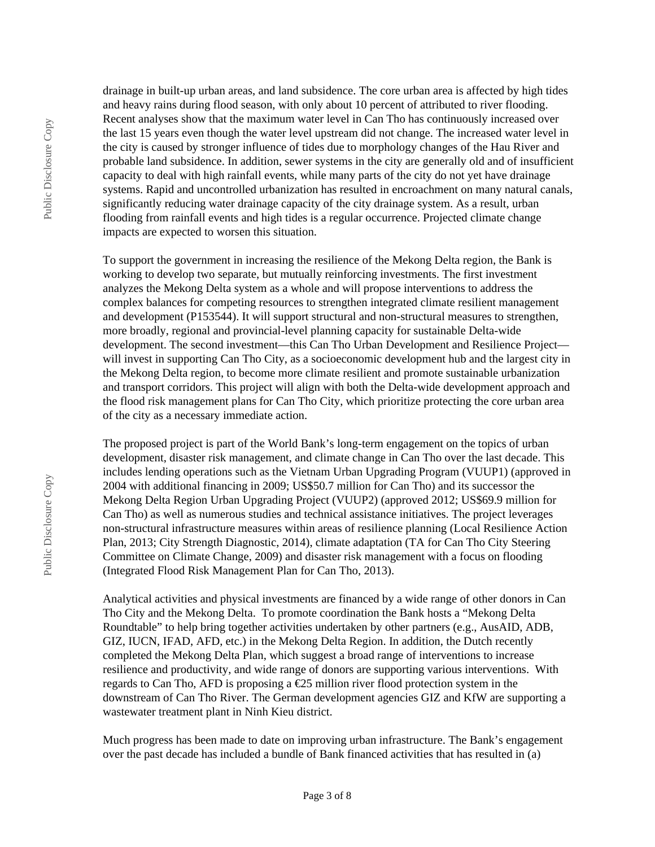drainage in built-up urban areas, and land subsidence. The core urban area is affected by high tides and heavy rains during flood season, with only about 10 percent of attributed to river flooding. Recent analyses show that the maximum water level in Can Tho has continuously increased over the last 15 years even though the water level upstream did not change. The increased water level in the city is caused by stronger influence of tides due to morphology changes of the Hau River and probable land subsidence. In addition, sewer systems in the city are generally old and of insufficient capacity to deal with high rainfall events, while many parts of the city do not yet have drainage systems. Rapid and uncontrolled urbanization has resulted in encroachment on many natural canals, significantly reducing water drainage capacity of the city drainage system. As a result, urban flooding from rainfall events and high tides is a regular occurrence. Projected climate change impacts are expected to worsen this situation.

To support the government in increasing the resilience of the Mekong Delta region, the Bank is working to develop two separate, but mutually reinforcing investments. The first investment analyzes the Mekong Delta system as a whole and will propose interventions to address the complex balances for competing resources to strengthen integrated climate resilient management and development (P153544). It will support structural and non-structural measures to strengthen, more broadly, regional and provincial-level planning capacity for sustainable Delta-wide development. The second investment—this Can Tho Urban Development and Resilience Project will invest in supporting Can Tho City, as a socioeconomic development hub and the largest city in the Mekong Delta region, to become more climate resilient and promote sustainable urbanization and transport corridors. This project will align with both the Delta-wide development approach and the flood risk management plans for Can Tho City, which prioritize protecting the core urban area of the city as a necessary immediate action.

The proposed project is part of the World Bank's long-term engagement on the topics of urban development, disaster risk management, and climate change in Can Tho over the last decade. This includes lending operations such as the Vietnam Urban Upgrading Program (VUUP1) (approved in 2004 with additional financing in 2009; US\$50.7 million for Can Tho) and its successor the Mekong Delta Region Urban Upgrading Project (VUUP2) (approved 2012; US\$69.9 million for Can Tho) as well as numerous studies and technical assistance initiatives. The project leverages non-structural infrastructure measures within areas of resilience planning (Local Resilience Action Plan, 2013; City Strength Diagnostic, 2014), climate adaptation (TA for Can Tho City Steering Committee on Climate Change, 2009) and disaster risk management with a focus on flooding (Integrated Flood Risk Management Plan for Can Tho, 2013).

Analytical activities and physical investments are financed by a wide range of other donors in Can Tho City and the Mekong Delta. To promote coordination the Bank hosts a "Mekong Delta Roundtable" to help bring together activities undertaken by other partners (e.g., AusAID, ADB, GIZ, IUCN, IFAD, AFD, etc.) in the Mekong Delta Region. In addition, the Dutch recently completed the Mekong Delta Plan, which suggest a broad range of interventions to increase resilience and productivity, and wide range of donors are supporting various interventions. With regards to Can Tho, AFD is proposing a  $E$ 5 million river flood protection system in the downstream of Can Tho River. The German development agencies GIZ and KfW are supporting a wastewater treatment plant in Ninh Kieu district.

Much progress has been made to date on improving urban infrastructure. The Bank's engagement over the past decade has included a bundle of Bank financed activities that has resulted in (a)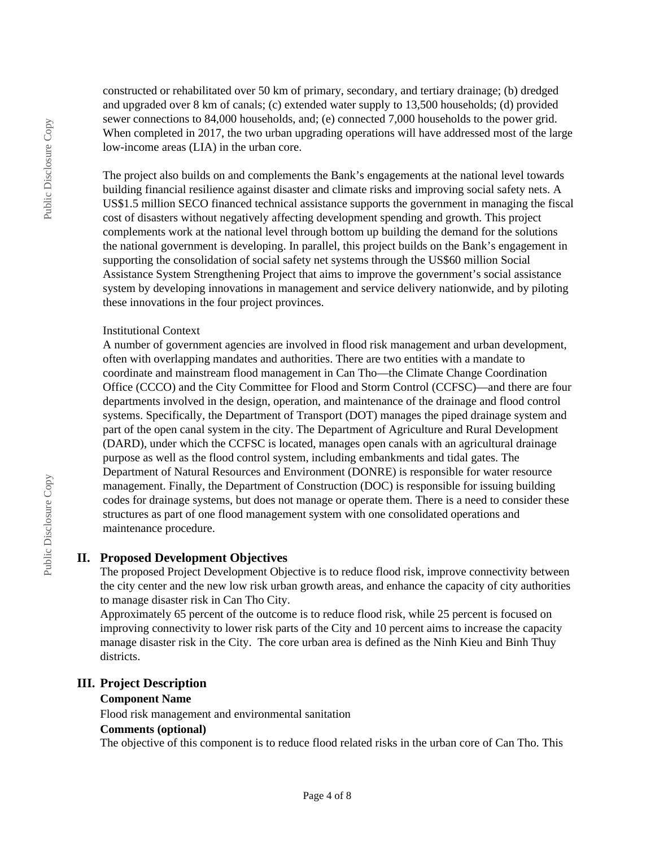constructed or rehabilitated over 50 km of primary, secondary, and tertiary drainage; (b) dredged and upgraded over 8 km of canals; (c) extended water supply to 13,500 households; (d) provided sewer connections to 84,000 households, and; (e) connected 7,000 households to the power grid. When completed in 2017, the two urban upgrading operations will have addressed most of the large low-income areas (LIA) in the urban core.

The project also builds on and complements the Bank's engagements at the national level towards building financial resilience against disaster and climate risks and improving social safety nets. A US\$1.5 million SECO financed technical assistance supports the government in managing the fiscal cost of disasters without negatively affecting development spending and growth. This project complements work at the national level through bottom up building the demand for the solutions the national government is developing. In parallel, this project builds on the Bank's engagement in supporting the consolidation of social safety net systems through the US\$60 million Social Assistance System Strengthening Project that aims to improve the government's social assistance system by developing innovations in management and service delivery nationwide, and by piloting these innovations in the four project provinces.

#### Institutional Context

A number of government agencies are involved in flood risk management and urban development, often with overlapping mandates and authorities. There are two entities with a mandate to coordinate and mainstream flood management in Can Tho—the Climate Change Coordination Office (CCCO) and the City Committee for Flood and Storm Control (CCFSC)—and there are four departments involved in the design, operation, and maintenance of the drainage and flood control systems. Specifically, the Department of Transport (DOT) manages the piped drainage system and part of the open canal system in the city. The Department of Agriculture and Rural Development (DARD), under which the CCFSC is located, manages open canals with an agricultural drainage purpose as well as the flood control system, including embankments and tidal gates. The Department of Natural Resources and Environment (DONRE) is responsible for water resource management. Finally, the Department of Construction (DOC) is responsible for issuing building codes for drainage systems, but does not manage or operate them. There is a need to consider these structures as part of one flood management system with one consolidated operations and maintenance procedure.

# **II. Proposed Development Objectives**

The proposed Project Development Objective is to reduce flood risk, improve connectivity between the city center and the new low risk urban growth areas, and enhance the capacity of city authorities to manage disaster risk in Can Tho City.

Approximately 65 percent of the outcome is to reduce flood risk, while 25 percent is focused on improving connectivity to lower risk parts of the City and 10 percent aims to increase the capacity manage disaster risk in the City. The core urban area is defined as the Ninh Kieu and Binh Thuy districts.

# **III. Project Description**

#### **Component Name**

Flood risk management and environmental sanitation

#### **Comments (optional)**

The objective of this component is to reduce flood related risks in the urban core of Can Tho. This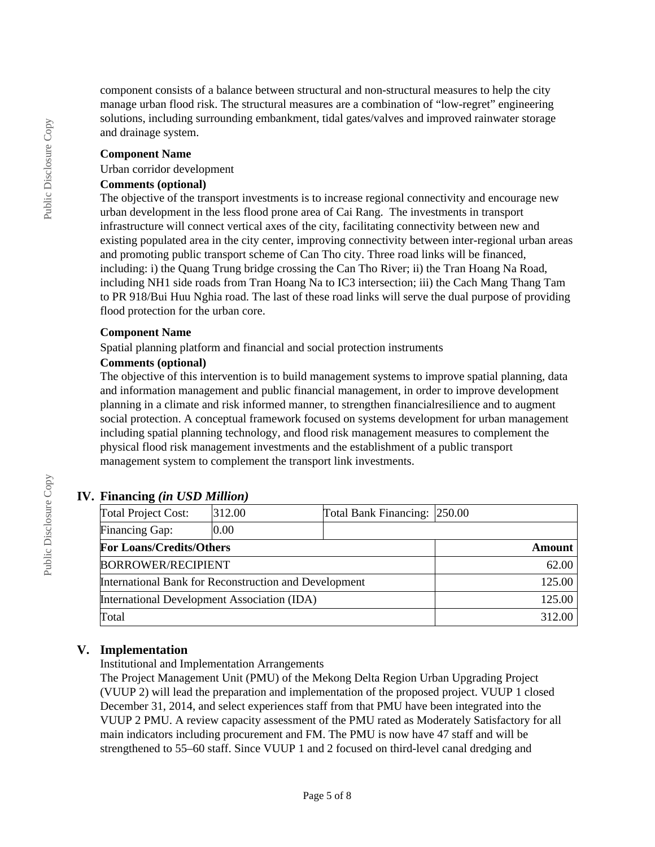component consists of a balance between structural and non-structural measures to help the city manage urban flood risk. The structural measures are a combination of "low-regret" engineering solutions, including surrounding embankment, tidal gates/valves and improved rainwater storage and drainage system.

#### **Component Name**

#### Urban corridor development

#### **Comments (optional)**

The objective of the transport investments is to increase regional connectivity and encourage new urban development in the less flood prone area of Cai Rang. The investments in transport infrastructure will connect vertical axes of the city, facilitating connectivity between new and existing populated area in the city center, improving connectivity between inter-regional urban areas and promoting public transport scheme of Can Tho city. Three road links will be financed, including: i) the Quang Trung bridge crossing the Can Tho River; ii) the Tran Hoang Na Road, including NH1 side roads from Tran Hoang Na to IC3 intersection; iii) the Cach Mang Thang Tam to PR 918/Bui Huu Nghia road. The last of these road links will serve the dual purpose of providing flood protection for the urban core.

#### **Component Name**

Spatial planning platform and financial and social protection instruments

#### **Comments (optional)**

The objective of this intervention is to build management systems to improve spatial planning, data and information management and public financial management, in order to improve development planning in a climate and risk informed manner, to strengthen financialresilience and to augment social protection. A conceptual framework focused on systems development for urban management including spatial planning technology, and flood risk management measures to complement the physical flood risk management investments and the establishment of a public transport management system to complement the transport link investments.

# **IV. Financing** *(in USD Million)*

| Total Project Cost:                                   | 312.00 | Total Bank Financing: 250.00 |        |  |
|-------------------------------------------------------|--------|------------------------------|--------|--|
| Financing Gap:                                        | 0.00   |                              |        |  |
| <b>For Loans/Credits/Others</b>                       |        |                              | Amount |  |
| <b>BORROWER/RECIPIENT</b>                             |        |                              | 62.00  |  |
| International Bank for Reconstruction and Development |        |                              | 125.00 |  |
| International Development Association (IDA)           |        |                              | 125.00 |  |
| Total                                                 |        |                              | 312.00 |  |

# **V. Implementation**

Institutional and Implementation Arrangements

The Project Management Unit (PMU) of the Mekong Delta Region Urban Upgrading Project (VUUP 2) will lead the preparation and implementation of the proposed project. VUUP 1 closed December 31, 2014, and select experiences staff from that PMU have been integrated into the VUUP 2 PMU. A review capacity assessment of the PMU rated as Moderately Satisfactory for all main indicators including procurement and FM. The PMU is now have 47 staff and will be strengthened to 55–60 staff. Since VUUP 1 and 2 focused on third-level canal dredging and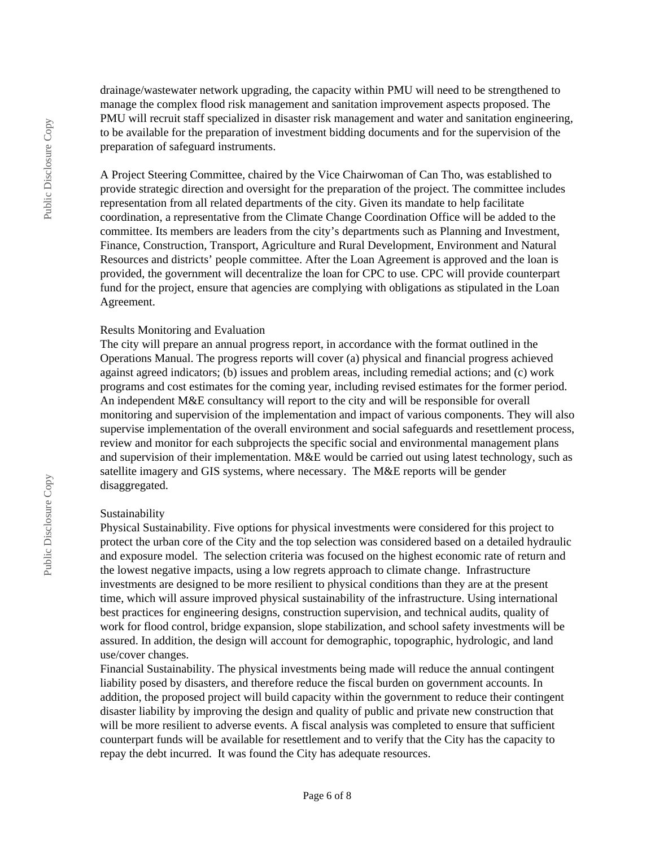drainage/wastewater network upgrading, the capacity within PMU will need to be strengthened to manage the complex flood risk management and sanitation improvement aspects proposed. The PMU will recruit staff specialized in disaster risk management and water and sanitation engineering, to be available for the preparation of investment bidding documents and for the supervision of the preparation of safeguard instruments.

A Project Steering Committee, chaired by the Vice Chairwoman of Can Tho, was established to provide strategic direction and oversight for the preparation of the project. The committee includes representation from all related departments of the city. Given its mandate to help facilitate coordination, a representative from the Climate Change Coordination Office will be added to the committee. Its members are leaders from the city's departments such as Planning and Investment, Finance, Construction, Transport, Agriculture and Rural Development, Environment and Natural Resources and districts' people committee. After the Loan Agreement is approved and the loan is provided, the government will decentralize the loan for CPC to use. CPC will provide counterpart fund for the project, ensure that agencies are complying with obligations as stipulated in the Loan Agreement.

#### Results Monitoring and Evaluation

The city will prepare an annual progress report, in accordance with the format outlined in the Operations Manual. The progress reports will cover (a) physical and financial progress achieved against agreed indicators; (b) issues and problem areas, including remedial actions; and (c) work programs and cost estimates for the coming year, including revised estimates for the former period. An independent M&E consultancy will report to the city and will be responsible for overall monitoring and supervision of the implementation and impact of various components. They will also supervise implementation of the overall environment and social safeguards and resettlement process, review and monitor for each subprojects the specific social and environmental management plans and supervision of their implementation. M&E would be carried out using latest technology, such as satellite imagery and GIS systems, where necessary. The M&E reports will be gender disaggregated.

#### Sustainability

Physical Sustainability. Five options for physical investments were considered for this project to protect the urban core of the City and the top selection was considered based on a detailed hydraulic and exposure model. The selection criteria was focused on the highest economic rate of return and the lowest negative impacts, using a low regrets approach to climate change. Infrastructure investments are designed to be more resilient to physical conditions than they are at the present time, which will assure improved physical sustainability of the infrastructure. Using international best practices for engineering designs, construction supervision, and technical audits, quality of work for flood control, bridge expansion, slope stabilization, and school safety investments will be assured. In addition, the design will account for demographic, topographic, hydrologic, and land use/cover changes.

Financial Sustainability. The physical investments being made will reduce the annual contingent liability posed by disasters, and therefore reduce the fiscal burden on government accounts. In addition, the proposed project will build capacity within the government to reduce their contingent disaster liability by improving the design and quality of public and private new construction that will be more resilient to adverse events. A fiscal analysis was completed to ensure that sufficient counterpart funds will be available for resettlement and to verify that the City has the capacity to repay the debt incurred. It was found the City has adequate resources.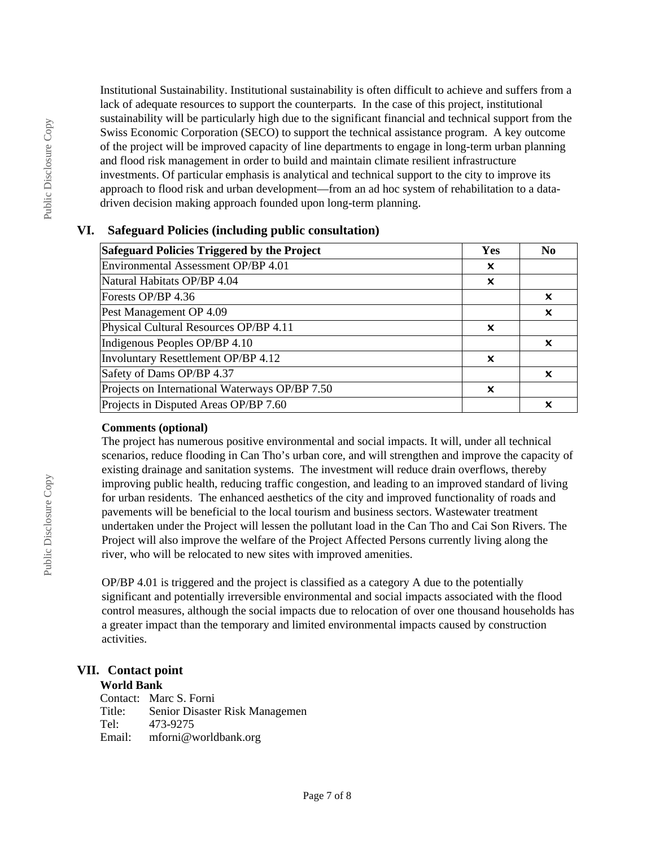Institutional Sustainability. Institutional sustainability is often difficult to achieve and suffers from a lack of adequate resources to support the counterparts. In the case of this project, institutional sustainability will be particularly high due to the significant financial and technical support from the Swiss Economic Corporation (SECO) to support the technical assistance program. A key outcome of the project will be improved capacity of line departments to engage in long-term urban planning and flood risk management in order to build and maintain climate resilient infrastructure investments. Of particular emphasis is analytical and technical support to the city to improve its approach to flood risk and urban development—from an ad hoc system of rehabilitation to a datadriven decision making approach founded upon long-term planning.

# **VI. Safeguard Policies (including public consultation)**

| <b>Safeguard Policies Triggered by the Project</b> | Yes | N <sub>0</sub>            |
|----------------------------------------------------|-----|---------------------------|
| Environmental Assessment OP/BP 4.01                | x   |                           |
| Natural Habitats OP/BP 4.04                        | x   |                           |
| Forests OP/BP 4.36                                 |     | x                         |
| Pest Management OP 4.09                            |     | X                         |
| Physical Cultural Resources OP/BP 4.11             | x   |                           |
| Indigenous Peoples OP/BP 4.10                      |     | x                         |
| Involuntary Resettlement OP/BP 4.12                | X   |                           |
| Safety of Dams OP/BP 4.37                          |     | $\boldsymbol{\mathsf{x}}$ |
| Projects on International Waterways OP/BP 7.50     | ×   |                           |
| Projects in Disputed Areas OP/BP 7.60              |     | x                         |

### **Comments (optional)**

The project has numerous positive environmental and social impacts. It will, under all technical scenarios, reduce flooding in Can Tho's urban core, and will strengthen and improve the capacity of existing drainage and sanitation systems. The investment will reduce drain overflows, thereby improving public health, reducing traffic congestion, and leading to an improved standard of living for urban residents. The enhanced aesthetics of the city and improved functionality of roads and pavements will be beneficial to the local tourism and business sectors. Wastewater treatment undertaken under the Project will lessen the pollutant load in the Can Tho and Cai Son Rivers. The Project will also improve the welfare of the Project Affected Persons currently living along the river, who will be relocated to new sites with improved amenities.

OP/BP 4.01 is triggered and the project is classified as a category A due to the potentially significant and potentially irreversible environmental and social impacts associated with the flood control measures, although the social impacts due to relocation of over one thousand households has a greater impact than the temporary and limited environmental impacts caused by construction activities.

# **VII. Contact point**

# **World Bank**

Contact: Marc S. Forni Title: Senior Disaster Risk Managemen Tel: 473-9275 Email: mforni@worldbank.org